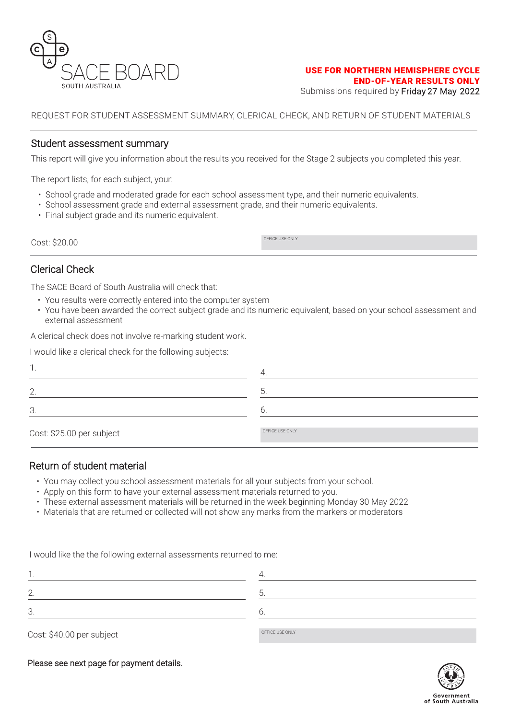

REQUEST FOR STUDENT ASSESSMENT SUMMARY, CLERICAL CHECK, AND RETURN OF STUDENT MATERIALS

### Student assessment summary

This report will give you information about the results you received for the Stage 2 subjects you completed this year.

The report lists, for each subject, your:

- School grade and moderated grade for each school assessment type, and their numeric equivalents.
- School assessment grade and external assessment grade, and their numeric equivalents.
- Final subject grade and its numeric equivalent.

COST: \$20.00

Clerical Check

The SACE Board of South Australia will check that:

- You results were correctly entered into the computer system
- You have been awarded the correct subject grade and its numeric equivalent, based on your school assessment and external assessment

A clerical check does not involve re-marking student work.

I would like a clerical check for the following subjects:

| ◠<br><u>L</u> .           |                 |
|---------------------------|-----------------|
| 3.                        |                 |
| Cost: \$25.00 per subject | OFFICE USE ONLY |

# Return of student material

- You may collect you school assessment materials for all your subjects from your school.
- Apply on this form to have your external assessment materials returned to you.
- These external assessment materials will be returned in the week beginning Monday 30 May 2022
- Materials that are returned or collected will not show any marks from the markers or moderators

I would like the the following external assessments returned to me:

| $A = 100$ |
|-----------|

Cost: \$40.00 per subject

Please see next page for payment details.